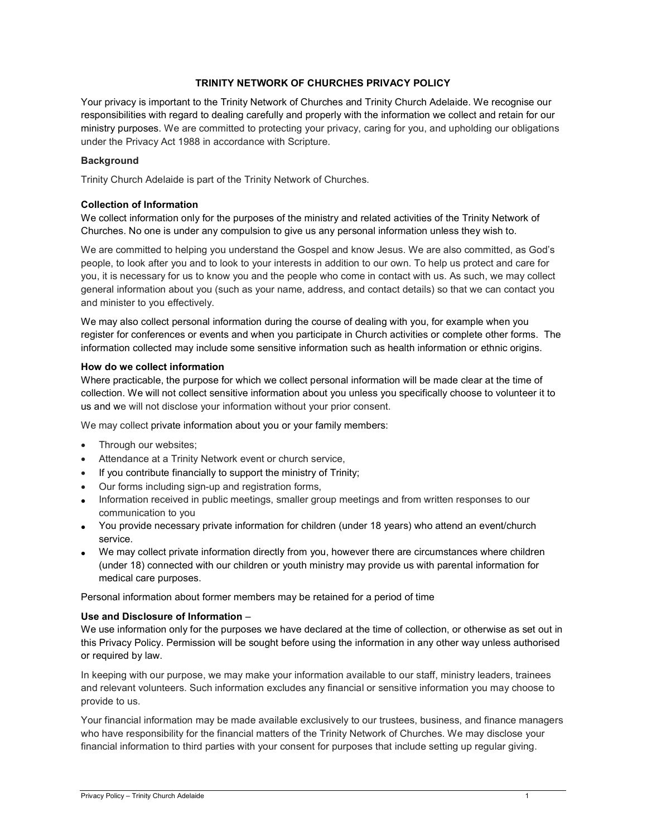# TRINITY NETWORK OF CHURCHES PRIVACY POLICY

Your privacy is important to the Trinity Network of Churches and Trinity Church Adelaide. We recognise our responsibilities with regard to dealing carefully and properly with the information we collect and retain for our ministry purposes. We are committed to protecting your privacy, caring for you, and upholding our obligations under the Privacy Act 1988 in accordance with Scripture.

# **Background**

Trinity Church Adelaide is part of the Trinity Network of Churches.

### Collection of Information

We collect information only for the purposes of the ministry and related activities of the Trinity Network of Churches. No one is under any compulsion to give us any personal information unless they wish to.

We are committed to helping you understand the Gospel and know Jesus. We are also committed, as God's people, to look after you and to look to your interests in addition to our own. To help us protect and care for you, it is necessary for us to know you and the people who come in contact with us. As such, we may collect general information about you (such as your name, address, and contact details) so that we can contact you and minister to you effectively.

We may also collect personal information during the course of dealing with you, for example when you register for conferences or events and when you participate in Church activities or complete other forms. The information collected may include some sensitive information such as health information or ethnic origins.

### How do we collect information

Where practicable, the purpose for which we collect personal information will be made clear at the time of collection. We will not collect sensitive information about you unless you specifically choose to volunteer it to us and we will not disclose your information without your prior consent.

We may collect private information about you or your family members:

- Through our websites;
- Attendance at a Trinity Network event or church service,
- $\bullet$  If you contribute financially to support the ministry of Trinity;
- Our forms including sign-up and registration forms,
- Information received in public meetings, smaller group meetings and from written responses to our communication to you
- You provide necessary private information for children (under 18 years) who attend an event/church service.
- We may collect private information directly from you, however there are circumstances where children (under 18) connected with our children or youth ministry may provide us with parental information for medical care purposes.

Personal information about former members may be retained for a period of time

# Use and Disclosure of Information –

We use information only for the purposes we have declared at the time of collection, or otherwise as set out in this Privacy Policy. Permission will be sought before using the information in any other way unless authorised or required by law.

In keeping with our purpose, we may make your information available to our staff, ministry leaders, trainees and relevant volunteers. Such information excludes any financial or sensitive information you may choose to provide to us.

Your financial information may be made available exclusively to our trustees, business, and finance managers who have responsibility for the financial matters of the Trinity Network of Churches. We may disclose your financial information to third parties with your consent for purposes that include setting up regular giving.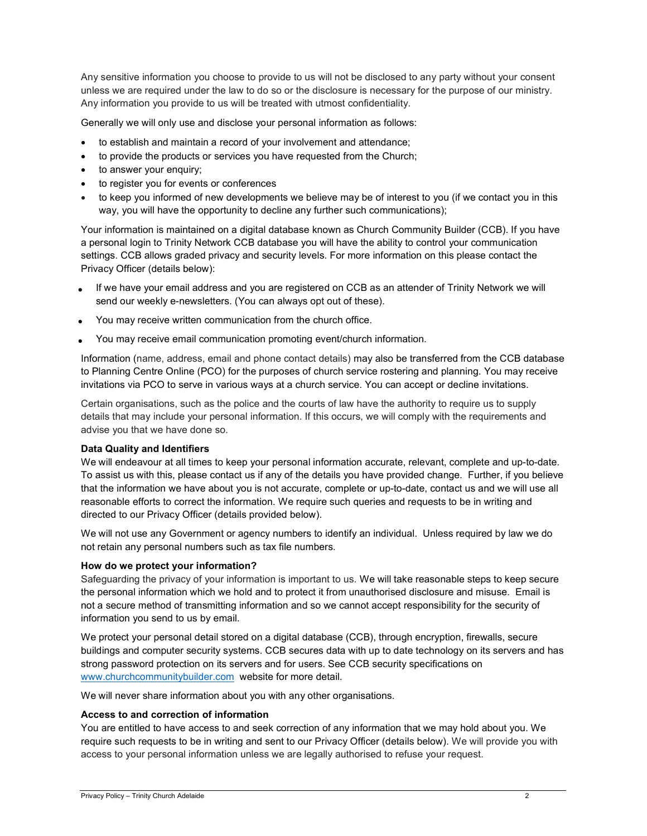Any sensitive information you choose to provide to us will not be disclosed to any party without your consent unless we are required under the law to do so or the disclosure is necessary for the purpose of our ministry. Any information you provide to us will be treated with utmost confidentiality.

Generally we will only use and disclose your personal information as follows:

- to establish and maintain a record of your involvement and attendance;
- to provide the products or services you have requested from the Church;
- to answer your enquiry;
- to register you for events or conferences
- to keep you informed of new developments we believe may be of interest to you (if we contact you in this way, you will have the opportunity to decline any further such communications);

Your information is maintained on a digital database known as Church Community Builder (CCB). If you have a personal login to Trinity Network CCB database you will have the ability to control your communication settings. CCB allows graded privacy and security levels. For more information on this please contact the Privacy Officer (details below):

- If we have your email address and you are registered on CCB as an attender of Trinity Network we will send our weekly e-newsletters. (You can always opt out of these).
- You may receive written communication from the church office.
- You may receive email communication promoting event/church information.

Information (name, address, email and phone contact details) may also be transferred from the CCB database to Planning Centre Online (PCO) for the purposes of church service rostering and planning. You may receive invitations via PCO to serve in various ways at a church service. You can accept or decline invitations.

Certain organisations, such as the police and the courts of law have the authority to require us to supply details that may include your personal information. If this occurs, we will comply with the requirements and advise you that we have done so.

### Data Quality and Identifiers

We will endeavour at all times to keep your personal information accurate, relevant, complete and up-to-date. To assist us with this, please contact us if any of the details you have provided change. Further, if you believe that the information we have about you is not accurate, complete or up-to-date, contact us and we will use all reasonable efforts to correct the information. We require such queries and requests to be in writing and directed to our Privacy Officer (details provided below).

We will not use any Government or agency numbers to identify an individual. Unless required by law we do not retain any personal numbers such as tax file numbers.

### How do we protect your information?

Safeguarding the privacy of your information is important to us. We will take reasonable steps to keep secure the personal information which we hold and to protect it from unauthorised disclosure and misuse. Email is not a secure method of transmitting information and so we cannot accept responsibility for the security of information you send to us by email.

We protect your personal detail stored on a digital database (CCB), through encryption, firewalls, secure buildings and computer security systems. CCB secures data with up to date technology on its servers and has strong password protection on its servers and for users. See CCB security specifications on www.churchcommunitybuilder.com website for more detail.

We will never share information about you with any other organisations.

### Access to and correction of information

You are entitled to have access to and seek correction of any information that we may hold about you. We require such requests to be in writing and sent to our Privacy Officer (details below). We will provide you with access to your personal information unless we are legally authorised to refuse your request.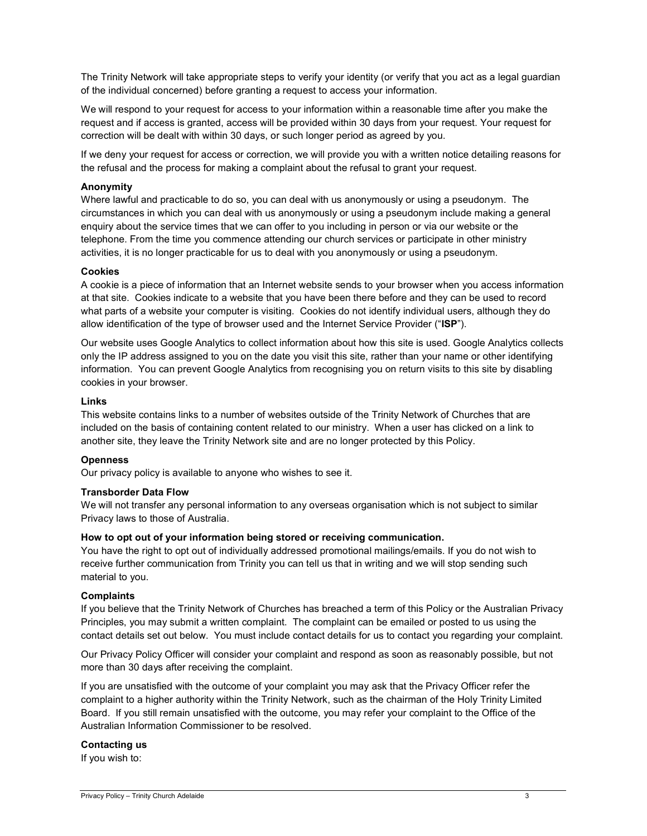The Trinity Network will take appropriate steps to verify your identity (or verify that you act as a legal guardian of the individual concerned) before granting a request to access your information.

We will respond to your request for access to your information within a reasonable time after you make the request and if access is granted, access will be provided within 30 days from your request. Your request for correction will be dealt with within 30 days, or such longer period as agreed by you.

If we deny your request for access or correction, we will provide you with a written notice detailing reasons for the refusal and the process for making a complaint about the refusal to grant your request.

### Anonymity

Where lawful and practicable to do so, you can deal with us anonymously or using a pseudonym. The circumstances in which you can deal with us anonymously or using a pseudonym include making a general enquiry about the service times that we can offer to you including in person or via our website or the telephone. From the time you commence attending our church services or participate in other ministry activities, it is no longer practicable for us to deal with you anonymously or using a pseudonym.

### Cookies

A cookie is a piece of information that an Internet website sends to your browser when you access information at that site. Cookies indicate to a website that you have been there before and they can be used to record what parts of a website your computer is visiting. Cookies do not identify individual users, although they do allow identification of the type of browser used and the Internet Service Provider ("ISP").

Our website uses Google Analytics to collect information about how this site is used. Google Analytics collects only the IP address assigned to you on the date you visit this site, rather than your name or other identifying information. You can prevent Google Analytics from recognising you on return visits to this site by disabling cookies in your browser.

### Links

This website contains links to a number of websites outside of the Trinity Network of Churches that are included on the basis of containing content related to our ministry. When a user has clicked on a link to another site, they leave the Trinity Network site and are no longer protected by this Policy.

# **Openness**

Our privacy policy is available to anyone who wishes to see it.

### Transborder Data Flow

We will not transfer any personal information to any overseas organisation which is not subject to similar Privacy laws to those of Australia.

### How to opt out of your information being stored or receiving communication.

You have the right to opt out of individually addressed promotional mailings/emails. If you do not wish to receive further communication from Trinity you can tell us that in writing and we will stop sending such material to you.

### Complaints

If you believe that the Trinity Network of Churches has breached a term of this Policy or the Australian Privacy Principles, you may submit a written complaint. The complaint can be emailed or posted to us using the contact details set out below. You must include contact details for us to contact you regarding your complaint.

Our Privacy Policy Officer will consider your complaint and respond as soon as reasonably possible, but not more than 30 days after receiving the complaint.

If you are unsatisfied with the outcome of your complaint you may ask that the Privacy Officer refer the complaint to a higher authority within the Trinity Network, such as the chairman of the Holy Trinity Limited Board. If you still remain unsatisfied with the outcome, you may refer your complaint to the Office of the Australian Information Commissioner to be resolved.

### Contacting us

If you wish to: